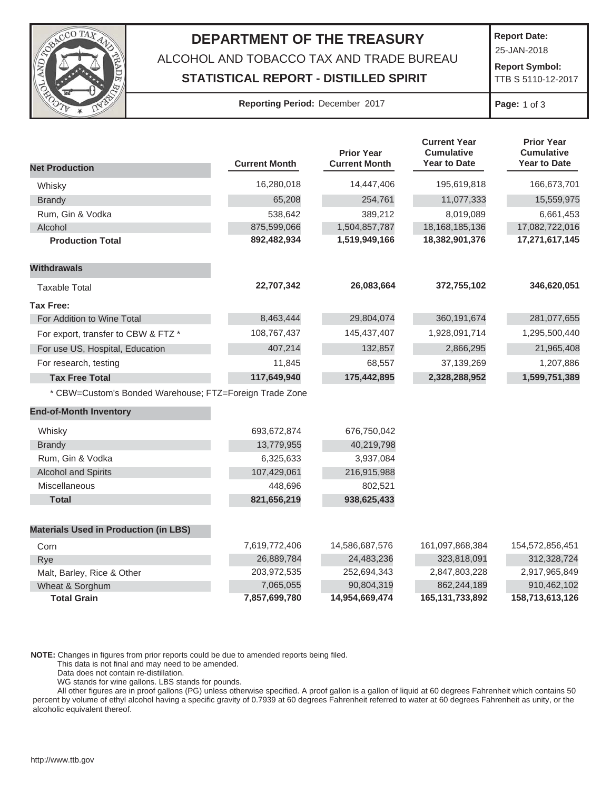

## **DEPARTMENT OF THE TREASURY** ALCOHOL AND TOBACCO TAX AND TRADE BUREAU **STATISTICAL REPORT - DISTILLED SPIRIT**

**Report Date:**

25-JAN-2018  **Report Symbol:** 

TTB S 5110-12-2017

## **Reporting Period:** December 2017 **Page:** 1 of 3

|                                                         |                      | <b>Prior Year</b>    | <b>Current Year</b><br><b>Cumulative</b> | <b>Prior Year</b><br><b>Cumulative</b> |
|---------------------------------------------------------|----------------------|----------------------|------------------------------------------|----------------------------------------|
| <b>Net Production</b>                                   | <b>Current Month</b> | <b>Current Month</b> | <b>Year to Date</b>                      | <b>Year to Date</b>                    |
| Whisky                                                  | 16,280,018           | 14,447,406           | 195,619,818                              | 166,673,701                            |
| <b>Brandy</b>                                           | 65,208               | 254,761              | 11,077,333                               | 15,559,975                             |
| Rum, Gin & Vodka                                        | 538,642              | 389,212              | 8,019,089                                | 6,661,453                              |
| Alcohol                                                 | 875,599,066          | 1,504,857,787        | 18, 168, 185, 136                        | 17,082,722,016                         |
| <b>Production Total</b>                                 | 892,482,934          | 1,519,949,166        | 18,382,901,376                           | 17,271,617,145                         |
| <b>Withdrawals</b>                                      |                      |                      |                                          |                                        |
| <b>Taxable Total</b>                                    | 22,707,342           | 26,083,664           | 372,755,102                              | 346,620,051                            |
| <b>Tax Free:</b>                                        |                      |                      |                                          |                                        |
| For Addition to Wine Total                              | 8,463,444            | 29,804,074           | 360,191,674                              | 281,077,655                            |
| For export, transfer to CBW & FTZ *                     | 108,767,437          | 145,437,407          | 1,928,091,714                            | 1,295,500,440                          |
| For use US, Hospital, Education                         | 407,214              | 132,857              | 2,866,295                                | 21,965,408                             |
| For research, testing                                   | 11,845               | 68,557               | 37,139,269                               | 1,207,886                              |
| <b>Tax Free Total</b>                                   | 117,649,940          | 175,442,895          | 2,328,288,952                            | 1,599,751,389                          |
| * CBW=Custom's Bonded Warehouse; FTZ=Foreign Trade Zone |                      |                      |                                          |                                        |
| <b>End-of-Month Inventory</b>                           |                      |                      |                                          |                                        |
| Whisky                                                  | 693,672,874          | 676,750,042          |                                          |                                        |
| <b>Brandy</b>                                           | 13,779,955           | 40,219,798           |                                          |                                        |
| Rum, Gin & Vodka                                        | 6,325,633            | 3,937,084            |                                          |                                        |
| <b>Alcohol and Spirits</b>                              | 107,429,061          | 216,915,988          |                                          |                                        |
| Miscellaneous                                           | 448,696              | 802,521              |                                          |                                        |
| <b>Total</b>                                            | 821,656,219          | 938,625,433          |                                          |                                        |
| <b>Materials Used in Production (in LBS)</b>            |                      |                      |                                          |                                        |
| Corn                                                    | 7,619,772,406        | 14,586,687,576       | 161,097,868,384                          | 154,572,856,451                        |
| Rye                                                     | 26,889,784           | 24,483,236           | 323,818,091                              | 312,328,724                            |
| Malt, Barley, Rice & Other                              | 203,972,535          | 252,694,343          | 2,847,803,228                            | 2,917,965,849                          |
| Wheat & Sorghum                                         | 7,065,055            | 90,804,319           | 862,244,189                              | 910,462,102                            |
| <b>Total Grain</b>                                      | 7,857,699,780        | 14,954,669,474       | 165, 131, 733, 892                       | 158,713,613,126                        |

**NOTE:** Changes in figures from prior reports could be due to amended reports being filed.

This data is not final and may need to be amended.

Data does not contain re-distillation.

WG stands for wine gallons. LBS stands for pounds.

 All other figures are in proof gallons (PG) unless otherwise specified. A proof gallon is a gallon of liquid at 60 degrees Fahrenheit which contains 50 percent by volume of ethyl alcohol having a specific gravity of 0.7939 at 60 degrees Fahrenheit referred to water at 60 degrees Fahrenheit as unity, or the alcoholic equivalent thereof.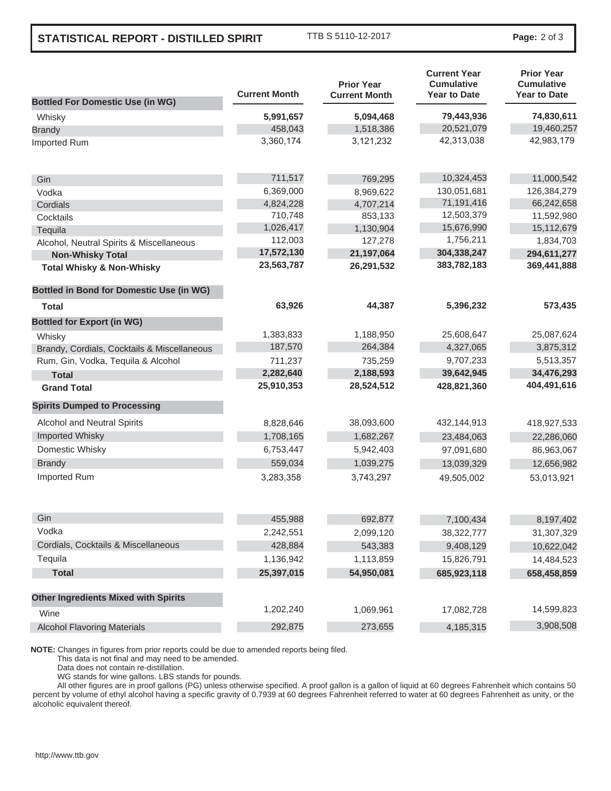## **STATISTICAL REPORT - DISTILLED SPIRIT**

TTB S 5110-12-2017 **Page:** 2 of 3

|                                                 | <b>Current Month</b> | <b>Prior Year</b><br><b>Current Month</b> | <b>Current Year</b><br><b>Cumulative</b><br><b>Year to Date</b> | <b>Prior Year</b><br><b>Cumulative</b><br><b>Year to Date</b> |
|-------------------------------------------------|----------------------|-------------------------------------------|-----------------------------------------------------------------|---------------------------------------------------------------|
| <b>Bottled For Domestic Use (in WG)</b>         |                      |                                           |                                                                 |                                                               |
| Whisky                                          | 5,991,657            | 5,094,468                                 | 79,443,936                                                      | 74,830,611                                                    |
| <b>Brandy</b>                                   | 458,043              | 1,518,386                                 | 20,521,079                                                      | 19,460,257                                                    |
| Imported Rum                                    | 3,360,174            | 3,121,232                                 | 42,313,038                                                      | 42,983,179                                                    |
| Gin                                             | 711,517              | 769,295                                   | 10,324,453                                                      | 11,000,542                                                    |
| Vodka                                           | 6,369,000            | 8,969,622                                 | 130,051,681                                                     | 126,384,279                                                   |
| Cordials                                        | 4,824,228            | 4,707,214                                 | 71,191,416                                                      | 66,242,658                                                    |
| Cocktails                                       | 710,748              | 853,133                                   | 12,503,379                                                      | 11,592,980                                                    |
| Tequila                                         | 1,026,417            | 1,130,904                                 | 15,676,990                                                      | 15,112,679                                                    |
| Alcohol, Neutral Spirits & Miscellaneous        | 112,003              | 127,278                                   | 1,756,211                                                       | 1,834,703                                                     |
| <b>Non-Whisky Total</b>                         | 17,572,130           | 21,197,064                                | 304,338,247                                                     | 294,611,277                                                   |
| <b>Total Whisky &amp; Non-Whisky</b>            | 23,563,787           | 26,291,532                                | 383,782,183                                                     | 369,441,888                                                   |
| <b>Bottled in Bond for Domestic Use (in WG)</b> |                      |                                           |                                                                 |                                                               |
| Total                                           | 63,926               | 44,387                                    | 5,396,232                                                       | 573,435                                                       |
| <b>Bottled for Export (in WG)</b>               |                      |                                           |                                                                 |                                                               |
| Whisky                                          | 1,383,833            | 1,188,950                                 | 25,608,647                                                      | 25,087,624                                                    |
| Brandy, Cordials, Cocktails & Miscellaneous     | 187,570              | 264,384                                   | 4,327,065                                                       | 3,875,312                                                     |
| Rum, Gin, Vodka, Tequila & Alcohol              | 711,237              | 735,259                                   | 9,707,233                                                       | 5,513,357                                                     |
| <b>Total</b>                                    | 2,282,640            | 2,188,593                                 | 39,642,945                                                      | 34,476,293                                                    |
| <b>Grand Total</b>                              | 25,910,353           | 28,524,512                                | 428,821,360                                                     | 404,491,616                                                   |
| <b>Spirits Dumped to Processing</b>             |                      |                                           |                                                                 |                                                               |
| Alcohol and Neutral Spirits                     | 8,828,646            | 38,093,600                                | 432,144,913                                                     | 418,927,533                                                   |
| <b>Imported Whisky</b>                          | 1,708,165            | 1,682,267                                 | 23,484,063                                                      | 22,286,060                                                    |
| Domestic Whisky                                 | 6,753,447            | 5,942,403                                 | 97,091,680                                                      | 86,963,067                                                    |
| <b>Brandy</b>                                   | 559,034              | 1,039,275                                 | 13,039,329                                                      | 12,656,982                                                    |
| Imported Rum                                    | 3,283,358            | 3,743,297                                 | 49,505,002                                                      | 53,013,921                                                    |
| Gin                                             | 455,988              | 692,877                                   | 7,100,434                                                       | 8,197,402                                                     |
| Vodka                                           | 2,242,551            | 2,099,120                                 | 38,322,777                                                      | 31,307,329                                                    |
| Cordials, Cocktails & Miscellaneous             | 428,884              | 543,383                                   | 9,408,129                                                       | 10,622,042                                                    |
| Tequila                                         | 1,136,942            | 1,113,859                                 | 15,826,791                                                      | 14,484,523                                                    |
| <b>Total</b>                                    | 25,397,015           | 54,950,081                                | 685,923,118                                                     | 658,458,859                                                   |
| <b>Other Ingredients Mixed with Spirits</b>     |                      |                                           |                                                                 |                                                               |
| Wine                                            | 1,202,240            | 1,069,961                                 | 17,082,728                                                      | 14,599,823                                                    |
| <b>Alcohol Flavoring Materials</b>              | 292,875              | 273,655                                   | 4,185,315                                                       | 3,908,508                                                     |
|                                                 |                      |                                           |                                                                 |                                                               |

**NOTE:** Changes in figures from prior reports could be due to amended reports being filed.

This data is not final and may need to be amended.

Data does not contain re-distillation.

WG stands for wine gallons. LBS stands for pounds.

 All other figures are in proof gallons (PG) unless otherwise specified. A proof gallon is a gallon of liquid at 60 degrees Fahrenheit which contains 50 percent by volume of ethyl alcohol having a specific gravity of 0.7939 at 60 degrees Fahrenheit referred to water at 60 degrees Fahrenheit as unity, or the alcoholic equivalent thereof.